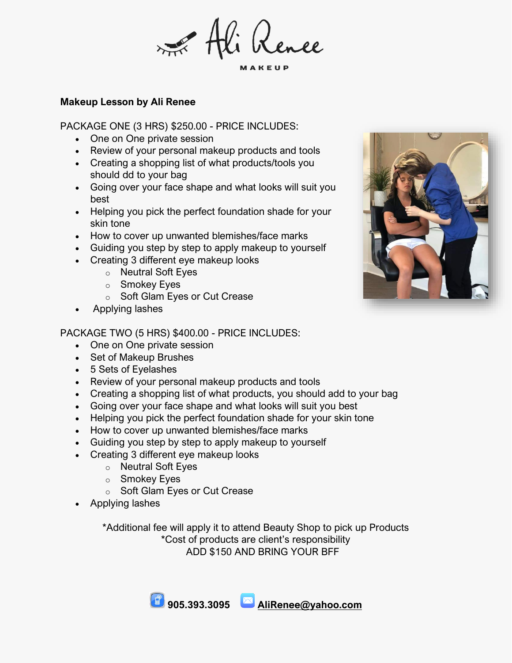Rence

## **Makeup Lesson by Ali Renee**

PACKAGE ONE (3 HRS) \$250.00 - PRICE INCLUDES:

- One on One private session
- Review of your personal makeup products and tools
- Creating a shopping list of what products/tools you should dd to your bag
- Going over your face shape and what looks will suit you best
- Helping you pick the perfect foundation shade for your skin tone
- How to cover up unwanted blemishes/face marks
- Guiding you step by step to apply makeup to yourself
- Creating 3 different eye makeup looks
	- o Neutral Soft Eyes
	- o Smokey Eyes
	- o Soft Glam Eyes or Cut Crease
- Applying lashes

## PACKAGE TWO (5 HRS) \$400.00 - PRICE INCLUDES:

- One on One private session
- Set of Makeup Brushes
- 5 Sets of Eyelashes
- Review of your personal makeup products and tools
- Creating a shopping list of what products, you should add to your bag
- Going over your face shape and what looks will suit you best
- Helping you pick the perfect foundation shade for your skin tone
- How to cover up unwanted blemishes/face marks
- Guiding you step by step to apply makeup to yourself
- Creating 3 different eye makeup looks
	- o Neutral Soft Eyes
		- o Smokey Eyes
		- o Soft Glam Eyes or Cut Crease
- Applying lashes

\*Additional fee will apply it to attend Beauty Shop to pick up Products \*Cost of products are client's responsibility ADD \$150 AND BRING YOUR BFF